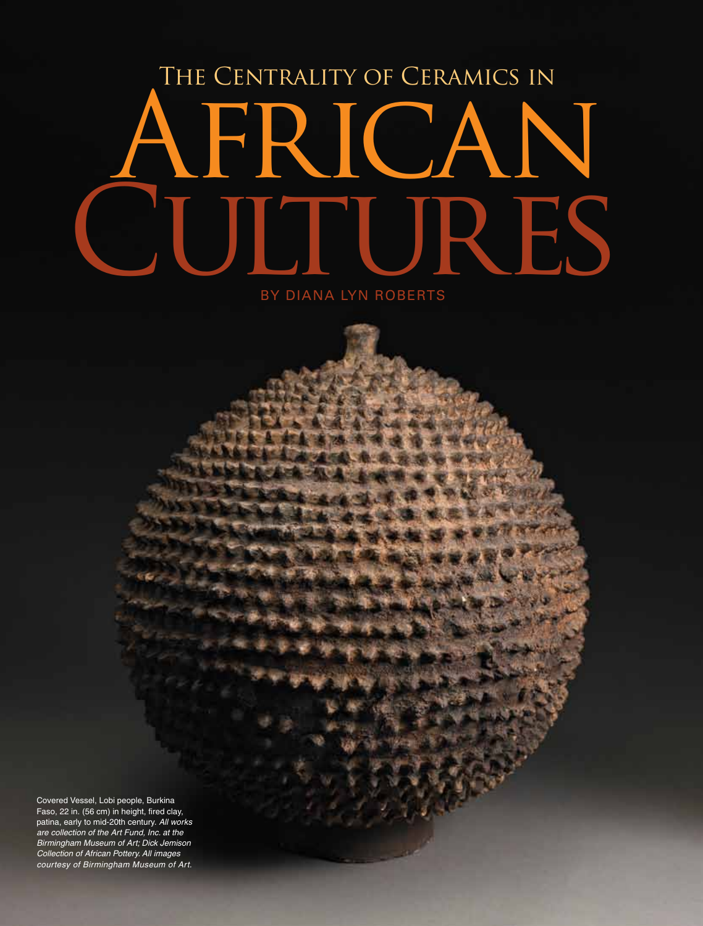## The Centrality of Ceramics in **AFRICAN** ULTURES

by Diana Lyn Roberts

Covered Vessel, Lobi people, Burkina Faso, 22 in. (56 cm) in height, fired clay, patina, early to mid-20th century. *All works are collection of the Art Fund, Inc. at the Birmingham Museum of Art; Dick Jemison Collection of African Pottery. All images courtesy of Birmingham Museum of Art.*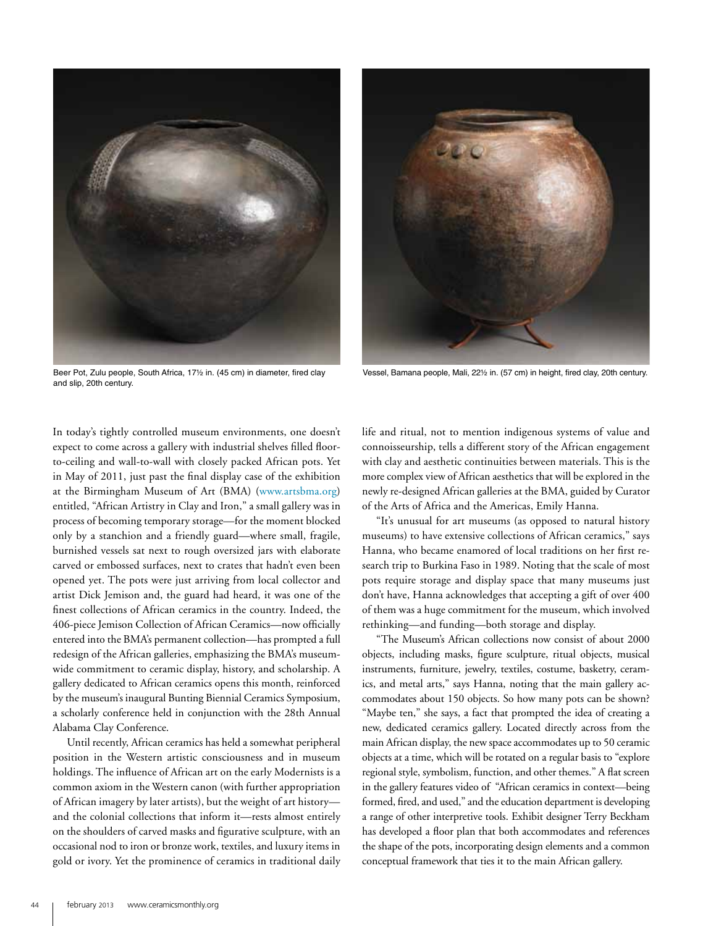

Beer Pot, Zulu people, South Africa, 17½ in. (45 cm) in diameter, fired clay and slip, 20th century.



Vessel, Bamana people, Mali, 22½ in. (57 cm) in height, fired clay, 20th century.

In today's tightly controlled museum environments, one doesn't expect to come across a gallery with industrial shelves filled floorto-ceiling and wall-to-wall with closely packed African pots. Yet in May of 2011, just past the final display case of the exhibition at the Birmingham Museum of Art (BMA) (www.artsbma.org) entitled, "African Artistry in Clay and Iron," a small gallery was in process of becoming temporary storage—for the moment blocked only by a stanchion and a friendly guard—where small, fragile, burnished vessels sat next to rough oversized jars with elaborate carved or embossed surfaces, next to crates that hadn't even been opened yet. The pots were just arriving from local collector and artist Dick Jemison and, the guard had heard, it was one of the finest collections of African ceramics in the country. Indeed, the 406-piece Jemison Collection of African Ceramics—now officially entered into the BMA's permanent collection—has prompted a full redesign of the African galleries, emphasizing the BMA's museumwide commitment to ceramic display, history, and scholarship. A gallery dedicated to African ceramics opens this month, reinforced by the museum's inaugural Bunting Biennial Ceramics Symposium, a scholarly conference held in conjunction with the 28th Annual Alabama Clay Conference.

Until recently, African ceramics has held a somewhat peripheral position in the Western artistic consciousness and in museum holdings. The influence of African art on the early Modernists is a common axiom in the Western canon (with further appropriation of African imagery by later artists), but the weight of art history and the colonial collections that inform it—rests almost entirely on the shoulders of carved masks and figurative sculpture, with an occasional nod to iron or bronze work, textiles, and luxury items in gold or ivory. Yet the prominence of ceramics in traditional daily

life and ritual, not to mention indigenous systems of value and connoisseurship, tells a different story of the African engagement with clay and aesthetic continuities between materials. This is the more complex view of African aesthetics that will be explored in the newly re-designed African galleries at the BMA, guided by Curator of the Arts of Africa and the Americas, Emily Hanna.

"It's unusual for art museums (as opposed to natural history museums) to have extensive collections of African ceramics," says Hanna, who became enamored of local traditions on her first research trip to Burkina Faso in 1989. Noting that the scale of most pots require storage and display space that many museums just don't have, Hanna acknowledges that accepting a gift of over 400 of them was a huge commitment for the museum, which involved rethinking—and funding—both storage and display.

"The Museum's African collections now consist of about 2000 objects, including masks, figure sculpture, ritual objects, musical instruments, furniture, jewelry, textiles, costume, basketry, ceramics, and metal arts," says Hanna, noting that the main gallery accommodates about 150 objects. So how many pots can be shown? "Maybe ten," she says, a fact that prompted the idea of creating a new, dedicated ceramics gallery. Located directly across from the main African display, the new space accommodates up to 50 ceramic objects at a time, which will be rotated on a regular basis to "explore regional style, symbolism, function, and other themes." A flat screen in the gallery features video of "African ceramics in context—being formed, fired, and used," and the education department is developing a range of other interpretive tools. Exhibit designer Terry Beckham has developed a floor plan that both accommodates and references the shape of the pots, incorporating design elements and a common conceptual framework that ties it to the main African gallery.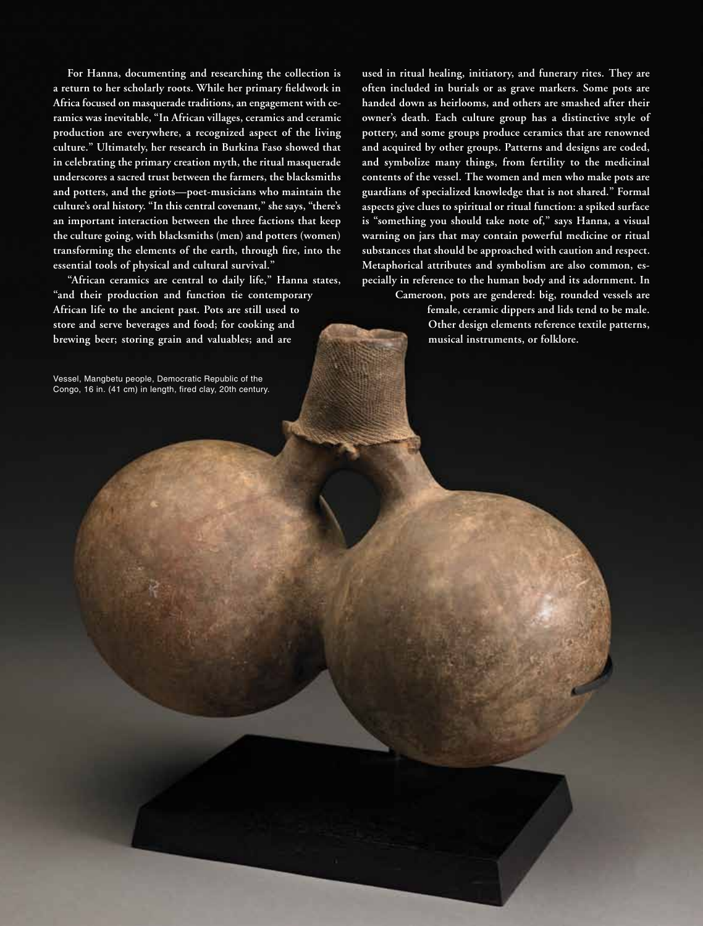**For Hanna, documenting and researching the collection is a return to her scholarly roots. While her primary fieldwork in Africa focused on masquerade traditions, an engagement with ceramics was inevitable, "In African villages, ceramics and ceramic production are everywhere, a recognized aspect of the living culture." Ultimately, her research in Burkina Faso showed that in celebrating the primary creation myth, the ritual masquerade underscores a sacred trust between the farmers, the blacksmiths and potters, and the griots—poet-musicians who maintain the culture's oral history. "In this central covenant," she says, "there's an important interaction between the three factions that keep the culture going, with blacksmiths (men) and potters (women) transforming the elements of the earth, through fire, into the essential tools of physical and cultural survival."** 

**"African ceramics are central to daily life," Hanna states, "and their production and function tie contemporary African life to the ancient past. Pots are still used to store and serve beverages and food; for cooking and brewing beer; storing grain and valuables; and are** 

Vessel, Mangbetu people, Democratic Republic of the Congo, 16 in. (41 cm) in length, fired clay, 20th century.

**used in ritual healing, initiatory, and funerary rites. They are often included in burials or as grave markers. Some pots are handed down as heirlooms, and others are smashed after their owner's death. Each culture group has a distinctive style of pottery, and some groups produce ceramics that are renowned and acquired by other groups. Patterns and designs are coded, and symbolize many things, from fertility to the medicinal contents of the vessel. The women and men who make pots are guardians of specialized knowledge that is not shared." Formal aspects give clues to spiritual or ritual function: a spiked surface is "something you should take note of," says Hanna, a visual warning on jars that may contain powerful medicine or ritual substances that should be approached with caution and respect. Metaphorical attributes and symbolism are also common, especially in reference to the human body and its adornment. In** 

> **Cameroon, pots are gendered: big, rounded vessels are female, ceramic dippers and lids tend to be male. Other design elements reference textile patterns, musical instruments, or folklore.**

> > ww.ceramicsmonthly.ceramics.ceramics.ce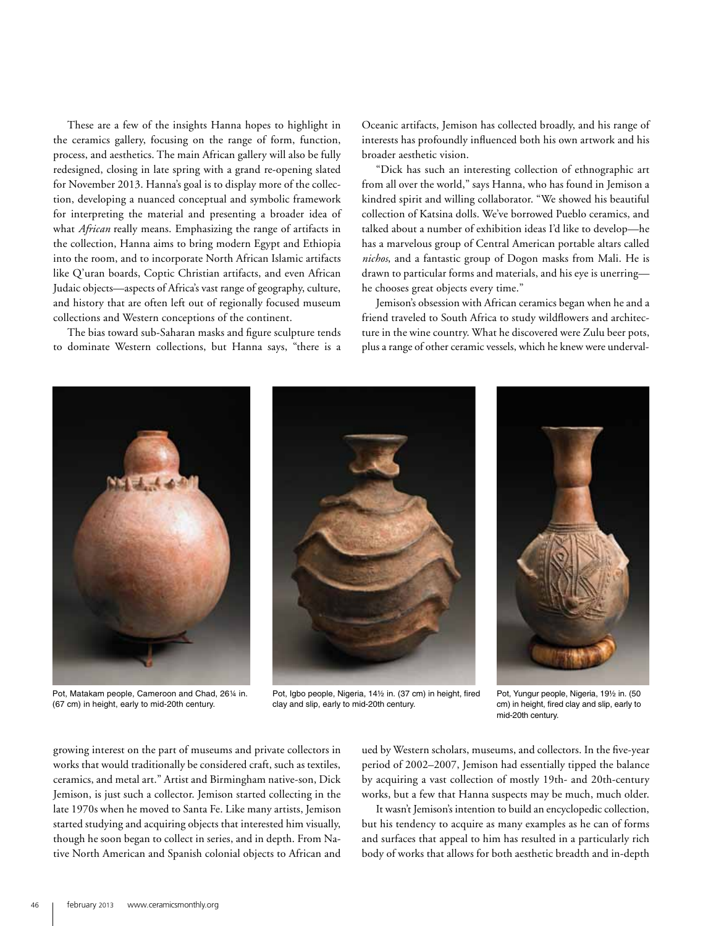These are a few of the insights Hanna hopes to highlight in the ceramics gallery, focusing on the range of form, function, process, and aesthetics. The main African gallery will also be fully redesigned, closing in late spring with a grand re-opening slated for November 2013. Hanna's goal is to display more of the collection, developing a nuanced conceptual and symbolic framework for interpreting the material and presenting a broader idea of what *African* really means. Emphasizing the range of artifacts in the collection, Hanna aims to bring modern Egypt and Ethiopia into the room, and to incorporate North African Islamic artifacts like Q'uran boards, Coptic Christian artifacts, and even African Judaic objects—aspects of Africa's vast range of geography, culture, and history that are often left out of regionally focused museum collections and Western conceptions of the continent.

The bias toward sub-Saharan masks and figure sculpture tends to dominate Western collections, but Hanna says, "there is a

Oceanic artifacts, Jemison has collected broadly, and his range of interests has profoundly influenced both his own artwork and his broader aesthetic vision.

"Dick has such an interesting collection of ethnographic art from all over the world," says Hanna, who has found in Jemison a kindred spirit and willing collaborator. "We showed his beautiful collection of Katsina dolls. We've borrowed Pueblo ceramics, and talked about a number of exhibition ideas I'd like to develop—he has a marvelous group of Central American portable altars called *nichos*, and a fantastic group of Dogon masks from Mali. He is drawn to particular forms and materials, and his eye is unerring he chooses great objects every time."

Jemison's obsession with African ceramics began when he and a friend traveled to South Africa to study wildflowers and architecture in the wine country. What he discovered were Zulu beer pots, plus a range of other ceramic vessels, which he knew were underval-



Pot, Matakam people, Cameroon and Chad, 26¼ in. (67 cm) in height, early to mid-20th century.

Pot, Igbo people, Nigeria, 14½ in. (37 cm) in height, fired clay and slip, early to mid-20th century.

Pot, Yungur people, Nigeria, 19½ in. (50 cm) in height, fired clay and slip, early to mid-20th century.

growing interest on the part of museums and private collectors in works that would traditionally be considered craft, such as textiles, ceramics, and metal art." Artist and Birmingham native-son, Dick Jemison, is just such a collector. Jemison started collecting in the late 1970s when he moved to Santa Fe. Like many artists, Jemison started studying and acquiring objects that interested him visually, though he soon began to collect in series, and in depth. From Native North American and Spanish colonial objects to African and

ued by Western scholars, museums, and collectors. In the five-year period of 2002–2007, Jemison had essentially tipped the balance by acquiring a vast collection of mostly 19th- and 20th-century works, but a few that Hanna suspects may be much, much older.

It wasn't Jemison's intention to build an encyclopedic collection, but his tendency to acquire as many examples as he can of forms and surfaces that appeal to him has resulted in a particularly rich body of works that allows for both aesthetic breadth and in-depth